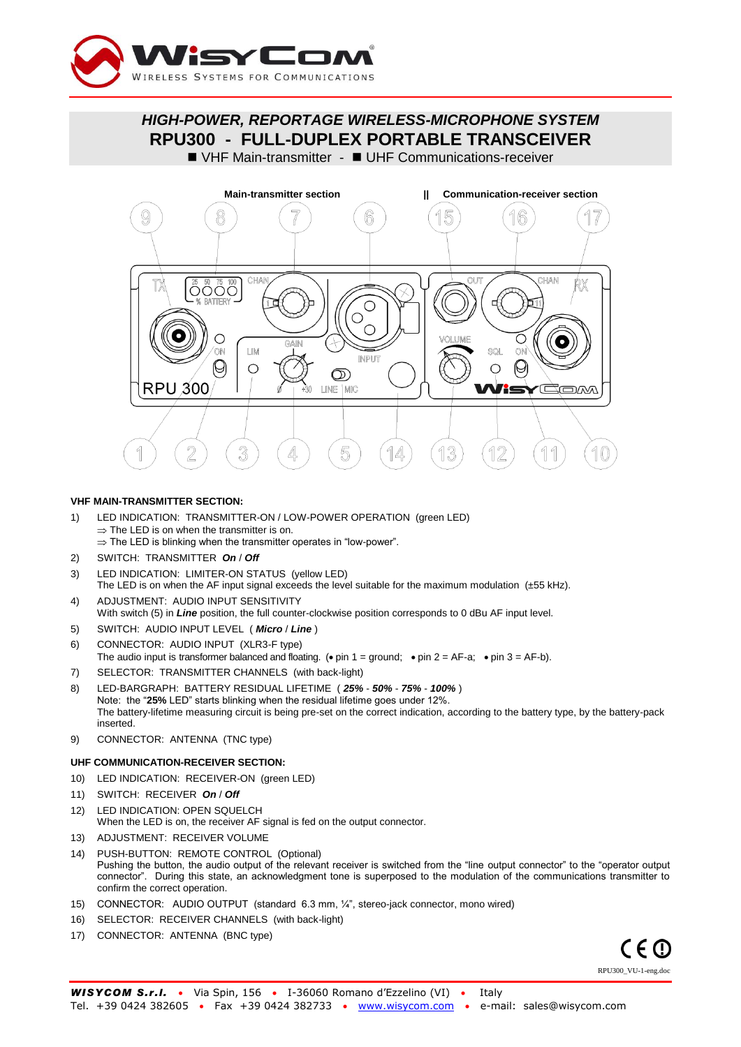

*HIGH-POWER, REPORTAGE WIRELESS-MICROPHONE SYSTEM* **RPU300 - FULL-DUPLEX PORTABLE TRANSCEIVER**

VHF Main-transmitter - UHF Communications-receiver



### **VHF MAIN-TRANSMITTER SECTION:**

- 1) LED INDICATION: TRANSMITTER-ON / LOW-POWER OPERATION (green LED)  $\Rightarrow$  The LED is on when the transmitter is on.  $\Rightarrow$  The LED is blinking when the transmitter operates in "low-power".
- 2) SWITCH: TRANSMITTER *On* / *Off*
- 3) LED INDICATION: LIMITER-ON STATUS (yellow LED)
- The LED is on when the AF input signal exceeds the level suitable for the maximum modulation (±55 kHz). 4) ADJUSTMENT: AUDIO INPUT SENSITIVITY
- With switch (5) in *Line* position, the full counter-clockwise position corresponds to 0 dBu AF input level.
- 5) SWITCH: AUDIO INPUT LEVEL ( *Micro* / *Line* )
- 6) CONNECTOR: AUDIO INPUT (XLR3-F type)
- The audio input is transformer balanced and floating. ( $\bullet$  pin 1 = ground;  $\bullet$  pin 2 = AF-a;  $\bullet$  pin 3 = AF-b).
- 7) SELECTOR: TRANSMITTER CHANNELS (with back-light)
- 8) LED-BARGRAPH: BATTERY RESIDUAL LIFETIME ( *25% 50% 75% 100%* ) Note: the "**25%** LED" starts blinking when the residual lifetime goes under 12%. The battery-lifetime measuring circuit is being pre-set on the correct indication, according to the battery type, by the battery-pack inserted.
- 9) CONNECTOR: ANTENNA (TNC type)

#### **UHF COMMUNICATION-RECEIVER SECTION:**

- 10) LED INDICATION: RECEIVER-ON (green LED)
- 11) SWITCH: RECEIVER *On* / *Off*
- 12) LED INDICATION: OPEN SQUELCH When the LED is on, the receiver AF signal is fed on the output connector.
- 13) ADJUSTMENT: RECEIVER VOLUME
- 14) PUSH-BUTTON: REMOTE CONTROL (Optional) Pushing the button, the audio output of the relevant receiver is switched from the "line output connector" to the "operator output connector". During this state, an acknowledgment tone is superposed to the modulation of the communications transmitter to confirm the correct operation.
- 15) CONNECTOR: AUDIO OUTPUT (standard 6.3 mm, ¼", stereo-jack connector, mono wired)
- 16) SELECTOR: RECEIVER CHANNELS (with back-light)
- 17) CONNECTOR: ANTENNA (BNC type)

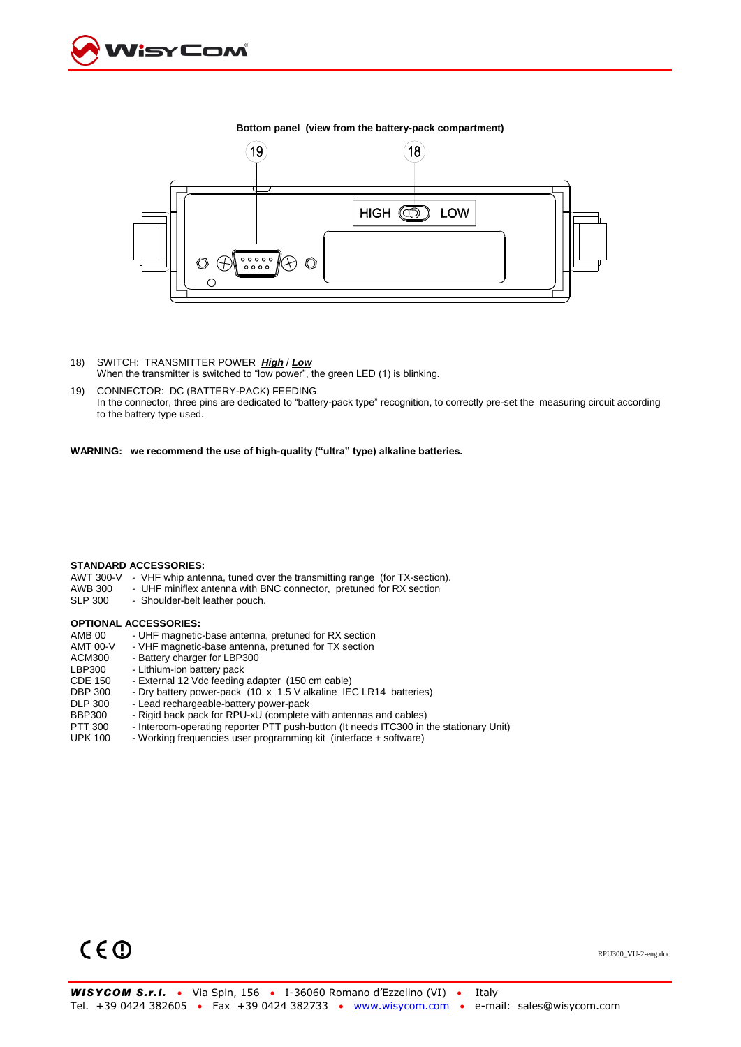



**Bottom panel (view from the battery-pack compartment)**

- 18) SWITCH: TRANSMITTER POWER *High* / *Low* When the transmitter is switched to "low power", the green LED (1) is blinking.
- 19) CONNECTOR: DC (BATTERY-PACK) FEEDING In the connector, three pins are dedicated to "battery-pack type" recognition, to correctly pre-set the measuring circuit according to the battery type used.

**WARNING: we recommend the use of high-quality ("ultra" type) alkaline batteries.**

### **STANDARD ACCESSORIES:**

- AWT 300-V VHF whip antenna, tuned over the transmitting range (for TX-section).
- AWB 300 UHF miniflex antenna with BNC connector, pretuned for RX section SLP 300 Shoulder-belt leather pouch.
- Shoulder-belt leather pouch.

# **OPTIONAL ACCESSORIES:**<br>AMB 00 - UHF magnetic

AMB 00 - UHF magnetic-base antenna, pretuned for RX section<br>AMT 00-V - VHF magnetic-base antenna, pretuned for TX section AMT 00-V - VHF magnetic-base antenna, pretuned for TX section<br>ACM300 - Battery charger for LBP300 ACM300 - Battery charger for LBP300<br>LBP300 - Lithium-ion battery pack LBP300 - Lithium-ion battery pack<br>CDE 150 - External 12 Vdc feeding CDE 150 - External 12 Vdc feeding adapter (150 cm cable)<br>DBP 300 - Dry battery power-pack (10 x 1.5 V alkaline IE DBP 300 - Dry battery power-pack (10 x 1.5 V alkaline IEC LR14 batteries)<br>DLP 300 - Lead rechargeable-battery power-pack DLP 300 - Lead rechargeable-battery power-pack<br>BBP300 - Rigid back pack for RPU-xU (complete BBP300 - Rigid back pack for RPU-xU (complete with antennas and cables)<br>PTT 300 - Intercom-operating reporter PTT push-button (It needs ITC300 in t PTT 300 - Intercom-operating reporter PTT push-button (It needs ITC300 in the stationary Unit)<br>UPK 100 - Working frequencies user programming kit (interface + software) - Working frequencies user programming kit (interface + software)

# $C \in \mathbb{O}$

RPU300\_VU-2-eng.doc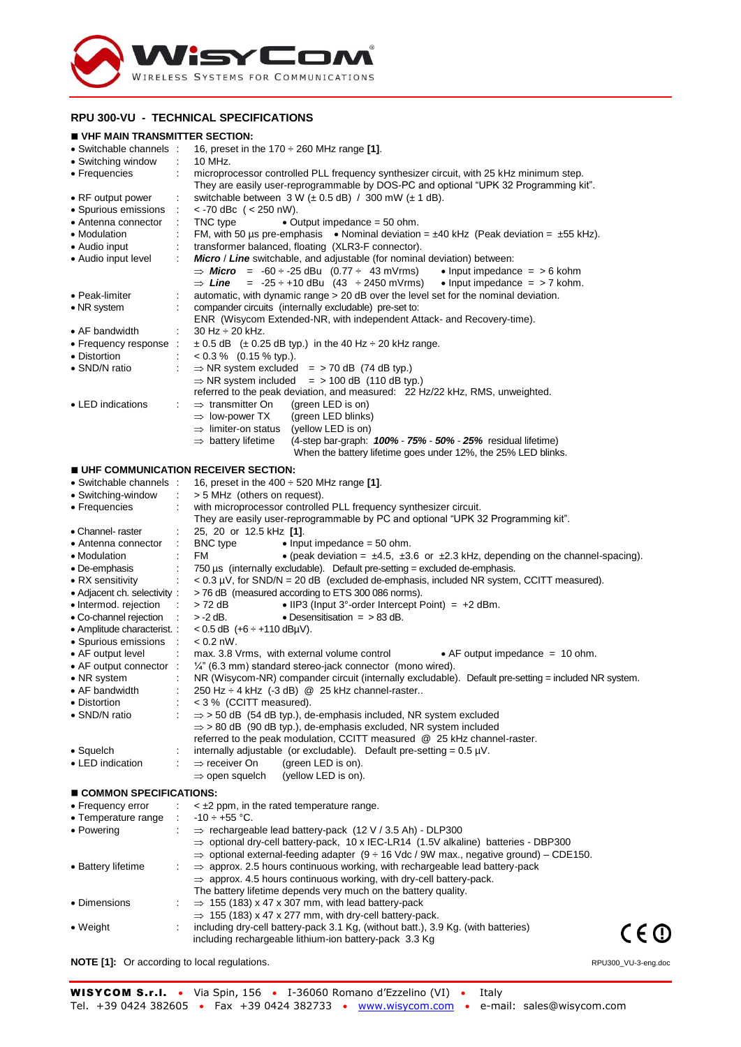

### **RPU 300-VU - TECHNICAL SPECIFICATIONS**

### **VHF MAIN TRANSMITTER SECTION:**

| VITE MAIN INANGMITTEN SECTION.<br>• Switchable channels : | 16, preset in the 170 $\div$ 260 MHz range [1].                                                                                                                               |  |  |  |  |
|-----------------------------------------------------------|-------------------------------------------------------------------------------------------------------------------------------------------------------------------------------|--|--|--|--|
| • Switching window                                        | 10 MHz.                                                                                                                                                                       |  |  |  |  |
| • Frequencies                                             | microprocessor controlled PLL frequency synthesizer circuit, with 25 kHz minimum step.                                                                                        |  |  |  |  |
|                                                           | They are easily user-reprogrammable by DOS-PC and optional "UPK 32 Programming kit".                                                                                          |  |  |  |  |
| • RF output power                                         | switchable between $3 W (\pm 0.5 dB) / 300 mW (\pm 1 dB)$ .                                                                                                                   |  |  |  |  |
| • Spurious emissions                                      | $<$ -70 dBc ( $<$ 250 nW).                                                                                                                                                    |  |  |  |  |
| • Antenna connector                                       | • Output impedance $=$ 50 ohm.<br>TNC type                                                                                                                                    |  |  |  |  |
| • Modulation                                              | FM, with 50 us pre-emphasis $\bullet$ Nominal deviation = $\pm$ 40 kHz (Peak deviation = $\pm$ 55 kHz).                                                                       |  |  |  |  |
| $\bullet$ Audio input                                     | transformer balanced, floating (XLR3-F connector).                                                                                                                            |  |  |  |  |
| • Audio input level                                       | <b>Micro / Line</b> switchable, and adjustable (for nominal deviation) between:<br>$\Rightarrow$ Micro = -60 ÷ -25 dBu (0.77 ÷ 43 mVrms)<br>• Input impedance $=$ > 6 kohm    |  |  |  |  |
|                                                           | $\Rightarrow$ Line = -25 $\div$ +10 dBu (43 $\div$ 2450 mVrms)<br>• Input impedance $=$ > 7 kohm.                                                                             |  |  |  |  |
| • Peak-limiter                                            | automatic, with dynamic range > 20 dB over the level set for the nominal deviation.                                                                                           |  |  |  |  |
| • NR system                                               | compander circuits (internally excludable) pre-set to:                                                                                                                        |  |  |  |  |
|                                                           | ENR (Wisycom Extended-NR, with independent Attack- and Recovery-time).                                                                                                        |  |  |  |  |
| • AF bandwidth                                            | $30$ Hz $\div$ 20 kHz.                                                                                                                                                        |  |  |  |  |
| • Frequency response :                                    | $\pm$ 0.5 dB ( $\pm$ 0.25 dB typ.) in the 40 Hz $\div$ 20 kHz range.                                                                                                          |  |  |  |  |
| • Distortion                                              | $< 0.3 %$ (0.15 % typ.).                                                                                                                                                      |  |  |  |  |
| • SND/N ratio                                             | $\Rightarrow$ NR system excluded = > 70 dB (74 dB typ.)                                                                                                                       |  |  |  |  |
|                                                           | $\Rightarrow$ NR system included = > 100 dB (110 dB typ.)                                                                                                                     |  |  |  |  |
|                                                           | referred to the peak deviation, and measured: 22 Hz/22 kHz, RMS, unweighted.                                                                                                  |  |  |  |  |
| • LED indications                                         | $\Rightarrow$ transmitter On<br>(green LED is on)                                                                                                                             |  |  |  |  |
|                                                           | (green LED blinks)<br>$\Rightarrow$ low-power TX<br>$\Rightarrow$ limiter-on status<br>(yellow LED is on)                                                                     |  |  |  |  |
|                                                           | $\Rightarrow$ battery lifetime<br>(4-step bar-graph: 100% - 75% - 50% - 25% residual lifetime)                                                                                |  |  |  |  |
|                                                           | When the battery lifetime goes under 12%, the 25% LED blinks.                                                                                                                 |  |  |  |  |
|                                                           | UHF COMMUNICATION RECEIVER SECTION:                                                                                                                                           |  |  |  |  |
| • Switchable channels :                                   | 16, preset in the $400 \div 520$ MHz range [1].                                                                                                                               |  |  |  |  |
| • Switching-window                                        | > 5 MHz (others on request).                                                                                                                                                  |  |  |  |  |
| • Frequencies                                             | with microprocessor controlled PLL frequency synthesizer circuit.                                                                                                             |  |  |  |  |
|                                                           | They are easily user-reprogrammable by PC and optional "UPK 32 Programming kit".                                                                                              |  |  |  |  |
| • Channel- raster                                         | 25, 20 or 12.5 kHz [1].                                                                                                                                                       |  |  |  |  |
| • Antenna connector                                       | <b>BNC</b> type<br>$\bullet$ Input impedance = 50 ohm.<br>÷                                                                                                                   |  |  |  |  |
| • Modulation                                              | FM<br>• (peak deviation = $\pm$ 4.5, $\pm$ 3.6 or $\pm$ 2.3 kHz, depending on the channel-spacing).                                                                           |  |  |  |  |
| • De-emphasis                                             | 750 $\mu$ s (internally excludable). Default pre-setting = excluded de-emphasis.                                                                                              |  |  |  |  |
| • RX sensitivity                                          | $< 0.3 \mu V$ , for SND/N = 20 dB (excluded de-emphasis, included NR system, CCITT measured).                                                                                 |  |  |  |  |
| • Adjacent ch. selectivity:                               | >76 dB (measured according to ETS 300 086 norms).                                                                                                                             |  |  |  |  |
| • Intermod. rejection                                     | > 72 dB<br>• IIP3 (Input $3^{\circ}$ -order Intercept Point) = $+2$ dBm.                                                                                                      |  |  |  |  |
| • Co-channel rejection                                    | $> -2$ dB.<br>• Desensitisation $=$ > 83 dB.                                                                                                                                  |  |  |  |  |
| • Amplitude characterist. :                               | $< 0.5$ dB $(+6 \div +110$ dBµV).                                                                                                                                             |  |  |  |  |
| • Spurious emissions                                      | $\sim$<br>$< 0.2$ nW.                                                                                                                                                         |  |  |  |  |
| • AF output level<br>• AF output connector :              | max. 3.8 Vrms, with external volume control<br>• AF output impedance $= 10$ ohm.                                                                                              |  |  |  |  |
| • NR system                                               | $\frac{1}{4}$ " (6.3 mm) standard stereo-jack connector (mono wired).<br>NR (Wisycom-NR) compander circuit (internally excludable). Default pre-setting = included NR system. |  |  |  |  |
| • AF bandwidth                                            | 250 Hz ÷ 4 kHz (-3 dB) @ 25 kHz channel-raster                                                                                                                                |  |  |  |  |
| • Distortion                                              | < 3 % (CCITT measured).                                                                                                                                                       |  |  |  |  |
| • SND/N ratio                                             | $\Rightarrow$ > 50 dB (54 dB typ.), de-emphasis included, NR system excluded                                                                                                  |  |  |  |  |
|                                                           | $\Rightarrow$ > 80 dB (90 dB typ.), de-emphasis excluded, NR system included                                                                                                  |  |  |  |  |
|                                                           | referred to the peak modulation, CCITT measured @ 25 kHz channel-raster.                                                                                                      |  |  |  |  |
| $\bullet$ Squelch                                         | internally adjustable (or excludable). Default pre-setting = $0.5 \mu V$ .                                                                                                    |  |  |  |  |
| • LED indication                                          | $\Rightarrow$ receiver On<br>(green LED is on).                                                                                                                               |  |  |  |  |
|                                                           | (yellow LED is on).<br>$\Rightarrow$ open squelch                                                                                                                             |  |  |  |  |
| $\blacksquare$ COMMON SPECIFICATIONS:                     |                                                                                                                                                                               |  |  |  |  |
| • Frequency error                                         | $\leq$ $\pm$ 2 ppm, in the rated temperature range.                                                                                                                           |  |  |  |  |
| • Temperature range                                       | $-10 \div +55$ °C.                                                                                                                                                            |  |  |  |  |
| • Powering                                                | $\Rightarrow$ rechargeable lead battery-pack (12 V / 3.5 Ah) - DLP300                                                                                                         |  |  |  |  |
|                                                           | $\Rightarrow$ optional dry-cell battery-pack, 10 x IEC-LR14 (1.5V alkaline) batteries - DBP300                                                                                |  |  |  |  |
|                                                           | $\Rightarrow$ optional external-feeding adapter (9 $\div$ 16 Vdc / 9W max., negative ground) – CDE150.                                                                        |  |  |  |  |
| • Battery lifetime                                        | $\Rightarrow$ approx. 2.5 hours continuous working, with rechargeable lead battery-pack                                                                                       |  |  |  |  |
|                                                           | $\Rightarrow$ approx. 4.5 hours continuous working, with dry-cell battery-pack.                                                                                               |  |  |  |  |
|                                                           | The battery lifetime depends very much on the battery quality.                                                                                                                |  |  |  |  |
| • Dimensions                                              | $\Rightarrow$ 155 (183) x 47 x 307 mm, with lead battery-pack                                                                                                                 |  |  |  |  |
|                                                           | $\Rightarrow$ 155 (183) x 47 x 277 mm, with dry-cell battery-pack.                                                                                                            |  |  |  |  |
| $\bullet$ Weight                                          | including dry-cell battery-pack 3.1 Kg, (without batt.), 3.9 Kg. (with batteries)<br>C E ①<br>including rechargeable lithium-ion battery-pack 3.3 Kg                          |  |  |  |  |
|                                                           |                                                                                                                                                                               |  |  |  |  |
| <b>NOTE</b> [1]: Or according to local regulations.       | RPU300_VU-3-eng.doc                                                                                                                                                           |  |  |  |  |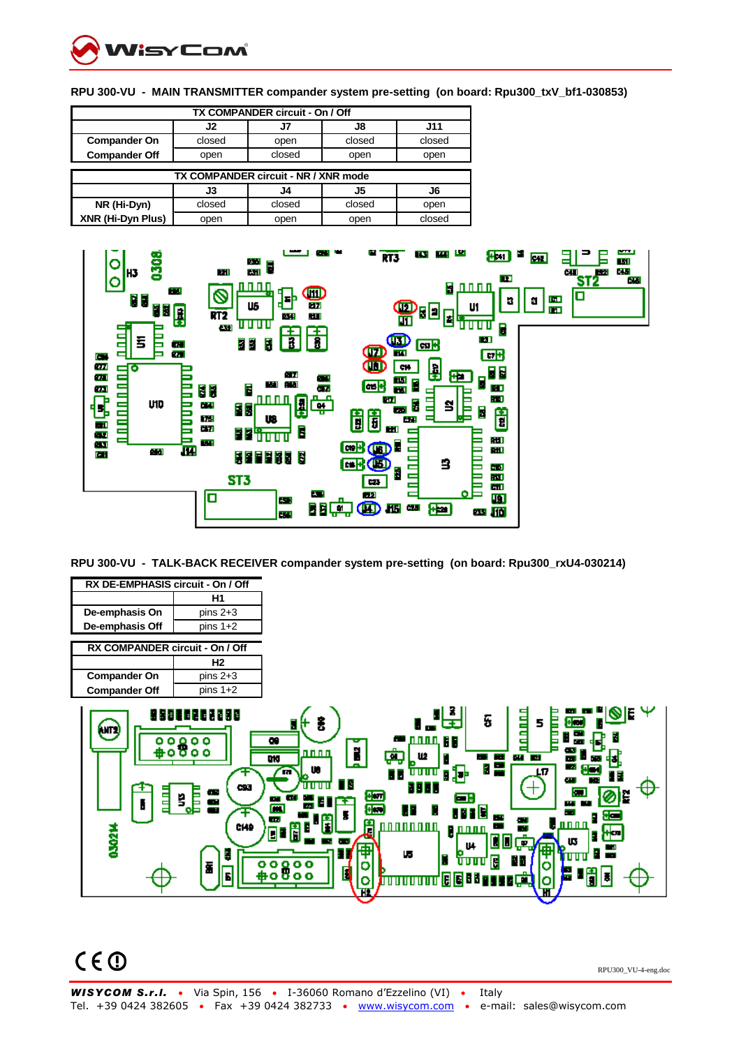

| TX COMPANDER circuit - On / Off      |        |        |        |        |  |  |  |  |
|--------------------------------------|--------|--------|--------|--------|--|--|--|--|
|                                      | J2     | J7     | J8     | J11    |  |  |  |  |
| <b>Compander On</b>                  | closed | open   | closed | closed |  |  |  |  |
| <b>Compander Off</b>                 | open   | closed | open   | open   |  |  |  |  |
|                                      |        |        |        |        |  |  |  |  |
| TX COMPANDER circuit - NR / XNR mode |        |        |        |        |  |  |  |  |
|                                      | J3     | J4     | J5     | J6     |  |  |  |  |
| NR (Hi-Dyn)                          |        |        | closed |        |  |  |  |  |
|                                      | closed | closed |        | open   |  |  |  |  |

**RPU 300-VU - MAIN TRANSMITTER compander system pre-setting (on board: Rpu300\_txV\_bf1-030853)**



**RPU 300-VU - TALK-BACK RECEIVER compander system pre-setting (on board: Rpu300\_rxU4-030214)**

| RX DE-EMPHASIS circuit - On / Off |                                                                                               |                                                                                                                                                                                                                                                                                                                                                                                                                                                                                                                                                                                                                                                                    |
|-----------------------------------|-----------------------------------------------------------------------------------------------|--------------------------------------------------------------------------------------------------------------------------------------------------------------------------------------------------------------------------------------------------------------------------------------------------------------------------------------------------------------------------------------------------------------------------------------------------------------------------------------------------------------------------------------------------------------------------------------------------------------------------------------------------------------------|
|                                   | H1                                                                                            |                                                                                                                                                                                                                                                                                                                                                                                                                                                                                                                                                                                                                                                                    |
| De-emphasis On                    | pins $2+3$                                                                                    |                                                                                                                                                                                                                                                                                                                                                                                                                                                                                                                                                                                                                                                                    |
| De-emphasis Off                   | pins $1+2$                                                                                    |                                                                                                                                                                                                                                                                                                                                                                                                                                                                                                                                                                                                                                                                    |
| RX COMPANDER circuit - On / Off   |                                                                                               |                                                                                                                                                                                                                                                                                                                                                                                                                                                                                                                                                                                                                                                                    |
|                                   | H2                                                                                            |                                                                                                                                                                                                                                                                                                                                                                                                                                                                                                                                                                                                                                                                    |
| <b>Compander On</b>               | pins $2+3$                                                                                    |                                                                                                                                                                                                                                                                                                                                                                                                                                                                                                                                                                                                                                                                    |
| <b>Compander Off</b>              | pins $1+2$                                                                                    |                                                                                                                                                                                                                                                                                                                                                                                                                                                                                                                                                                                                                                                                    |
| (um<br>틥<br>030214                | 88010202080<br>ە ە ە ە<br>ه ه<br>ο<br>CS3<br>٦,<br><b>COL</b><br>음<br>Ŧ<br>CHO<br>B<br>ī<br>Ы | IE.<br>5<br>昌昌<br>š<br>5<br><b>**</b> 0000, 68<br>$\overline{\mathbf{c}}$<br>Ñ<br><u>nn nn</u><br>رتبا<br>ш<br><b>ALL BA</b><br><b>DIG</b><br>×.<br>m<br>르<br>F<br>- 4<br>$\bullet$<br>m<br>LΠ<br>DJ+<br><u>unun</u><br>55<br>E<br>œ<br>Ш<br>11 11 11 11 11<br>18 E S<br><b>In</b><br>晅<br>œ<br>m.<br><b>COLOR</b><br>н<br>Ŧ<br><b>STAR</b><br>$\overline{\phantom{a}}$<br>$\blacksquare$<br>800<br>Ш<br>me<br>- 1<br>सन<br><b>Tara</b><br>П<br>Ĥ<br><b>The S</b><br>A<br><u>nn n n</u><br><u>nnnnnnn</u><br>E<br>nnnn<br>▣<br>₩<br>Е<br>15<br>L L<br><b>COMPANY</b><br>æ<br>U4<br>m<br>L5.<br>$\mathbf{r}$<br>गामा<br>F<br>П<br>00000<br>o<br>П<br>000a#<br>e e c |

 $C \in \mathbb{O}$ 

RPU300\_VU-4-eng.doc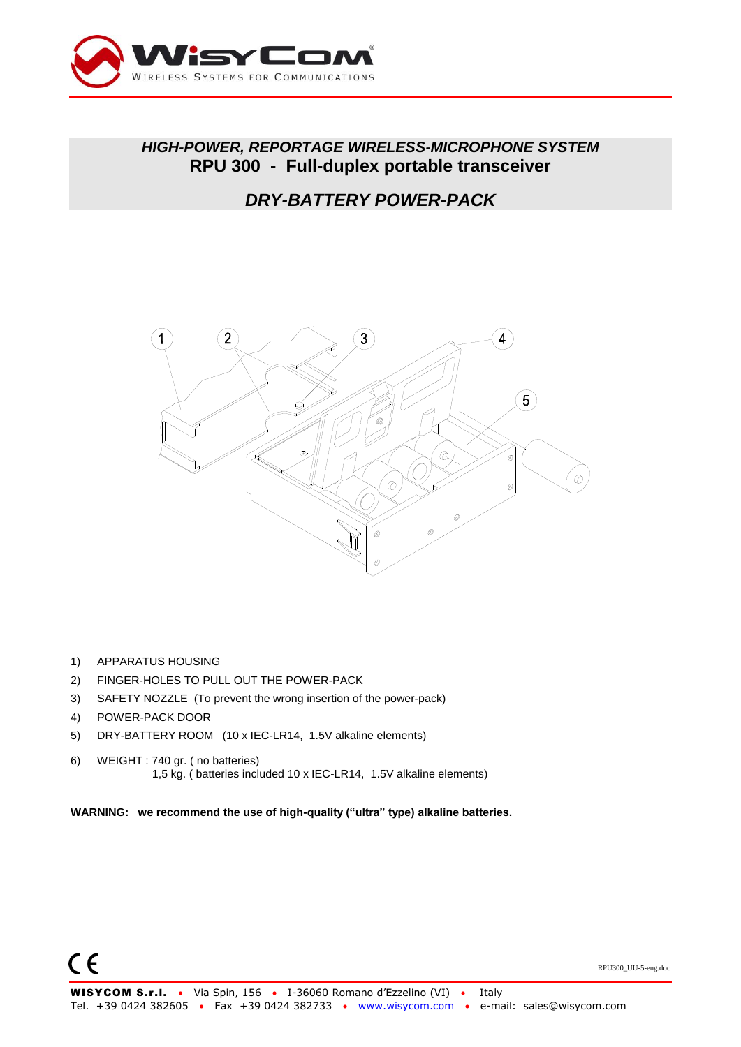

## *HIGH-POWER, REPORTAGE WIRELESS-MICROPHONE SYSTEM* **RPU 300 - Full-duplex portable transceiver**

# *DRY-BATTERY POWER-PACK*



- 1) APPARATUS HOUSING
- 2) FINGER-HOLES TO PULL OUT THE POWER-PACK
- 3) SAFETY NOZZLE (To prevent the wrong insertion of the power-pack)
- 4) POWER-PACK DOOR
- 5) DRY-BATTERY ROOM (10 x IEC-LR14, 1.5V alkaline elements)
- 6) WEIGHT : 740 gr. ( no batteries) 1,5 kg. ( batteries included 10 x IEC-LR14, 1.5V alkaline elements)

**WARNING: we recommend the use of high-quality ("ultra" type) alkaline batteries.**

RPU300\_UU-5-eng.doc